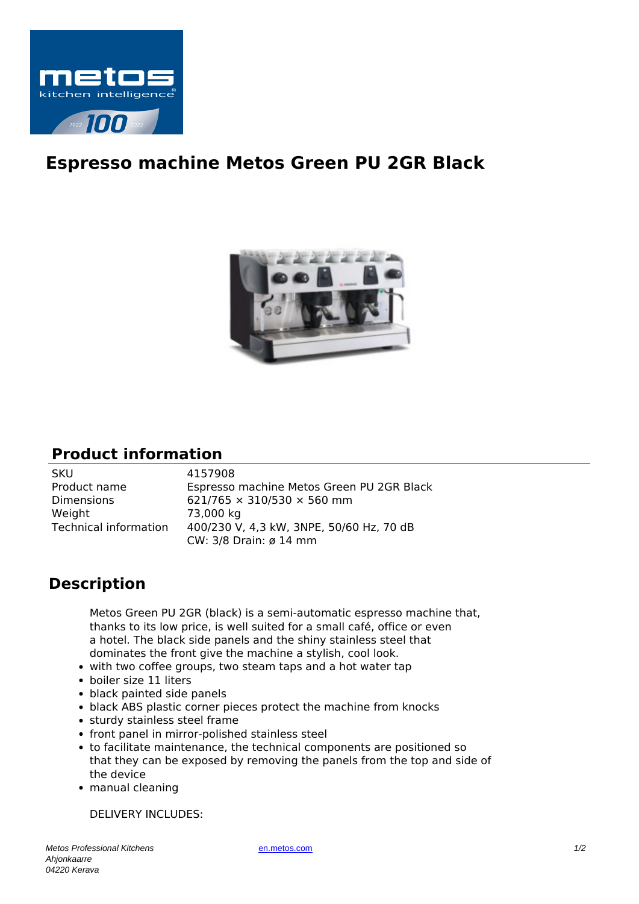

## **Espresso machine Metos Green PU 2GR Black**



## **Product information**

| <b>SKU</b>            | 4157908                                   |
|-----------------------|-------------------------------------------|
| Product name          | Espresso machine Metos Green PU 2GR Black |
| <b>Dimensions</b>     | 621/765 $\times$ 310/530 $\times$ 560 mm  |
| Weight                | 73,000 kg                                 |
| Technical information | 400/230 V, 4,3 kW, 3NPE, 50/60 Hz, 70 dB  |
|                       | CW: 3/8 Drain: ø 14 mm                    |

## **Description**

Metos Green PU 2GR (black) is a semi-automatic espresso machine that, thanks to its low price, is well suited for a small café, office or even a hotel. The black side panels and the shiny stainless steel that dominates the front give the machine a stylish, cool look.

- with two coffee groups, two steam taps and a hot water tap
- boiler size 11 liters
- black painted side panels
- black ABS plastic corner pieces protect the machine from knocks
- sturdy stainless steel frame
- front panel in mirror-polished stainless steel
- to facilitate maintenance, the technical components are positioned so that they can be exposed by removing the panels from the top and side of the device
- manual cleaning

DELIVERY INCLUDES: